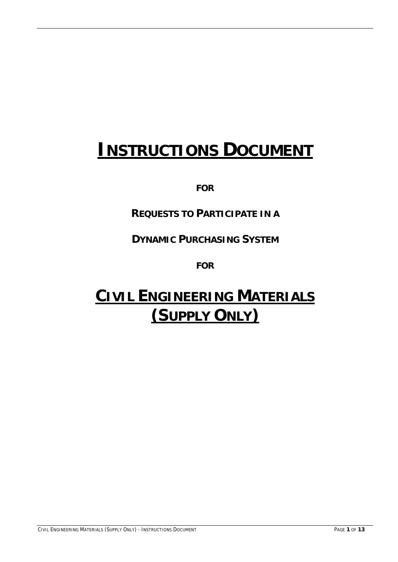# **INSTRUCTIONS DOCUMENT**

**FOR**

## **REQUESTS TO PARTICIPATE IN A**

**DYNAMIC PURCHASING SYSTEM**

**FOR** 

# **CIVIL ENGINEERING MATERIALS (SUPPLY ONLY)**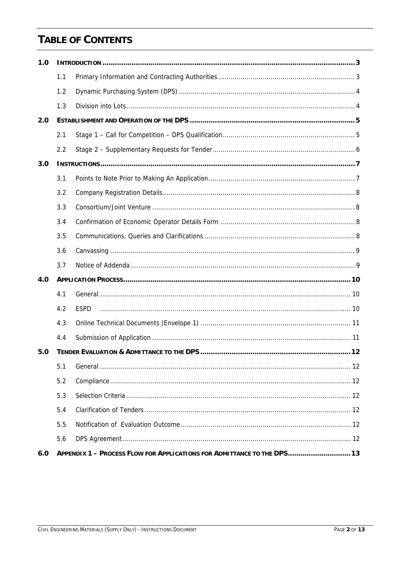# **TABLE OF CONTENTS**

| 1.0 |     |             |  |
|-----|-----|-------------|--|
|     | 1.1 |             |  |
|     | 1.2 |             |  |
|     | 1.3 |             |  |
| 2.0 |     |             |  |
|     | 2.1 |             |  |
|     | 2.2 |             |  |
| 3.0 |     |             |  |
|     | 3.1 |             |  |
|     | 3.2 |             |  |
|     | 3.3 |             |  |
|     | 3.4 |             |  |
|     | 3.5 |             |  |
|     | 3.6 |             |  |
|     |     |             |  |
|     | 3.7 |             |  |
| 4.0 |     |             |  |
|     | 4.1 |             |  |
|     | 4.2 | <b>ESPD</b> |  |
|     | 4.3 |             |  |
|     | 4.4 |             |  |
| 5.0 |     |             |  |
|     | 5.1 |             |  |
|     | 5.2 |             |  |
|     | 5.3 |             |  |
|     | 5.4 |             |  |
|     | 5.5 |             |  |
|     | 5.6 |             |  |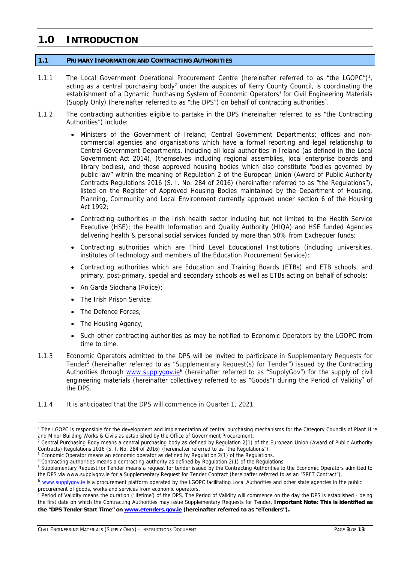### **1.0 INTRODUCTION**

### **1.1 PRIMARY INFORMATION AND CONTRACTING AUTHORITIES**

- 1.1.1 The Local Government Operational Procurement Centre (hereinafter referred to as "the LGOPC")<sup>1</sup>, acting as a central purchasing body<sup>2</sup> under the auspices of Kerry County Council, is coordinating the establishment of a Dynamic Purchasing System of Economic Operators<sup>3</sup> for Civil Engineering Materials (Supply Only) (hereinafter referred to as "the DPS") on behalf of contracting authorities4.
- 1.1.2 The contracting authorities eligible to partake in the DPS (hereinafter referred to as "the Contracting Authorities") include:
	- Ministers of the Government of Ireland; Central Government Departments; offices and noncommercial agencies and organisations which have a formal reporting and legal relationship to Central Government Departments, including all local authorities in Ireland (as defined in the Local Government Act 2014), (themselves including regional assemblies, local enterprise boards and library bodies), and those approved housing bodies which also constitute "bodies governed by public law" within the meaning of Regulation 2 of the European Union (Award of Public Authority Contracts Regulations 2016 (S. I. No. 284 of 2016) (hereinafter referred to as "the Regulations"), listed on the Register of Approved Housing Bodies maintained by the Department of Housing, Planning, Community and Local Environment currently approved under section 6 of the Housing Act 1992;
	- Contracting authorities in the Irish health sector including but not limited to the Health Service Executive (HSE); the Health Information and Quality Authority (HIQA) and HSE funded Agencies delivering health & personal social services funded by more than 50% from Exchequer funds;
	- Contracting authorities which are Third Level Educational Institutions (including universities, institutes of technology and members of the Education Procurement Service);
	- Contracting authorities which are Education and Training Boards (ETBs) and ETB schools, and primary, post-primary, special and secondary schools as well as ETBs acting on behalf of schools;
	- An Garda Síochana (Police);
	- The Irish Prison Service;
	- The Defence Forces;
	- The Housing Agency;

-

- Such other contracting authorities as may be notified to Economic Operators by the LGOPC from time to time.
- 1.1.3 Economic Operators admitted to the DPS will be invited to participate in Supplementary Requests for Tender5 (hereinafter referred to as "Supplementary Request(s) for Tender") issued by the Contracting Authorities through www.supplygov.ie<sup>6</sup> (hereinafter referred to as "SupplyGov") for the supply of civil engineering materials (hereinafter collectively referred to as "Goods") during the Period of Validity<sup>7</sup> of the DPS.
- 1.1.4 It is anticipated that the DPS will commence in Quarter 1, 2021.

<sup>7</sup> Period of Validity means the duration ('lifetime') of the DPS. The Period of Validity will commence on the day the DPS is established - being the first date on which the Contracting Authorities may issue Supplementary Requests for Tender. **Important Note: This is identified as the "DPS Tender Start Time" on www.etenders.gov.ie (hereinafter referred to as "eTenders").**

CIVIL ENGINEERING MATERIALS (SUPPLY ONLY) - INSTRUCTIONS DOCUMENT PAGE **3** OF **13**

<sup>&</sup>lt;sup>1</sup> The LGOPC is responsible for the development and implementation of central purchasing mechanisms for the Category Councils of Plant Hire and Minor Building Works & Civils as established by the Office of Government Procurement.

<sup>&</sup>lt;sup>2</sup> Central Purchasing Body means a central purchasing body as defined by Regulation 2(1) of the European Union (Award of Public Authority Contracts) Regulations 2016 (S. I. No. 284 of 2016) (hereinafter referred to as "the Regulations").

 $3$  Economic Operator means an economic operator as defined by Regulation  $2(1)$  of the Regulations.

<sup>&</sup>lt;sup>4</sup> Contracting authorities means a contracting authority as defined by Regulation 2(1) of the Regulations.<br><sup>5</sup> Supplementary Reguest for Tonder means a request for tonder issued by the Contracting Authorities to

<sup>&</sup>lt;sup>5</sup> Supplementary Request for Tender means a request for tender issued by the Contracting Authorities to the Economic Operators admitted to the DPS via www.supplygov.ie for a Supplementary Request for Tender Contract (hereinafter referred to as an "SRFT Contract").

<sup>&</sup>lt;sup>6</sup> www.supplygov.ie is a procurement platform operated by the LGOPC facilitating Local Authorities and other state agencies in the public procurement of goods, works and services from economic operators.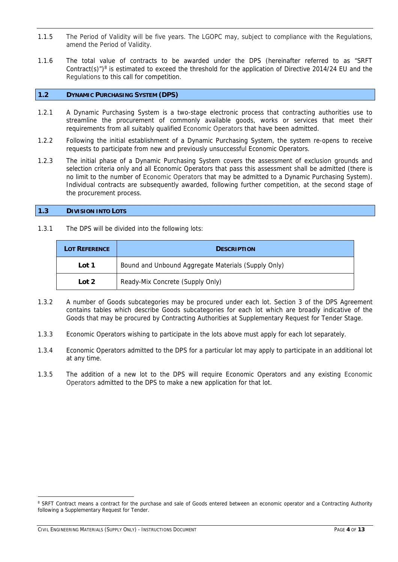- 1.1.5 The Period of Validity will be five years. The LGOPC may, subject to compliance with the Regulations, amend the Period of Validity.
- 1.1.6 The total value of contracts to be awarded under the DPS (hereinafter referred to as "SRFT Contract(s)")<sup>8</sup> is estimated to exceed the threshold for the application of Directive 2014/24 EU and the Regulations to this call for competition.

### **1.2 DYNAMIC PURCHASING SYSTEM (DPS)**

- 1.2.1 A Dynamic Purchasing System is a two-stage electronic process that contracting authorities use to streamline the procurement of commonly available goods, works or services that meet their requirements from all suitably qualified Economic Operators that have been admitted.
- 1.2.2 Following the initial establishment of a Dynamic Purchasing System, the system re-opens to receive requests to participate from new and previously unsuccessful Economic Operators.
- 1.2.3 The initial phase of a Dynamic Purchasing System covers the assessment of exclusion grounds and selection criteria only and all Economic Operators that pass this assessment shall be admitted (there is no limit to the number of Economic Operators that may be admitted to a Dynamic Purchasing System). Individual contracts are subsequently awarded, following further competition, at the second stage of the procurement process.

### **1.3 DIVISION INTO LOTS**

1.3.1 The DPS will be divided into the following lots:

| <b>LOT REFERENCE</b> | <b>DESCRIPTION</b>                                  |  |
|----------------------|-----------------------------------------------------|--|
| Lot 1                | Bound and Unbound Aggregate Materials (Supply Only) |  |
| Lot 2                | Ready-Mix Concrete (Supply Only)                    |  |

- 1.3.2 A number of Goods subcategories may be procured under each lot. Section 3 of the DPS Agreement contains tables which describe Goods subcategories for each lot which are broadly indicative of the Goods that may be procured by Contracting Authorities at Supplementary Request for Tender Stage.
- 1.3.3 Economic Operators wishing to participate in the lots above must apply for each lot separately.
- 1.3.4 Economic Operators admitted to the DPS for a particular lot may apply to participate in an additional lot at any time.
- 1.3.5 The addition of a new lot to the DPS will require Economic Operators and any existing Economic Operators admitted to the DPS to make a new application for that lot.

CIVIL ENGINEERING MATERIALS (SUPPLY ONLY) - INSTRUCTIONS DOCUMENT PAGE **4** OF **13**

<sup>&</sup>lt;sup>8</sup> SRFT Contract means a contract for the purchase and sale of Goods entered between an economic operator and a Contracting Authority following a Supplementary Request for Tender.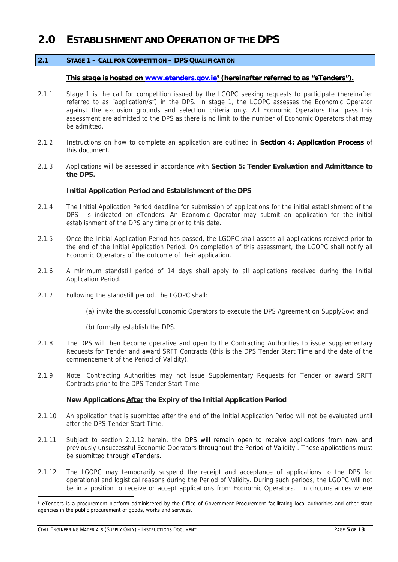### **2.0 ESTABLISHMENT AND OPERATION OF THE DPS**

### **2.1 STAGE 1 – CALL FOR COMPETITION – DPS QUALIFICATION**

### **This stage is hosted on www.etenders.gov.ie**<sup>9</sup> **(hereinafter referred to as "eTenders").**

- 2.1.1 Stage 1 is the call for competition issued by the LGOPC seeking requests to participate (hereinafter referred to as "application/s") in the DPS. In stage 1, the LGOPC assesses the Economic Operator against the exclusion grounds and selection criteria only. All Economic Operators that pass this assessment are admitted to the DPS as there is no limit to the number of Economic Operators that may be admitted.
- 2.1.2 Instructions on how to complete an application are outlined in **Section 4: Application Process** of this document.
- 2.1.3 Applications will be assessed in accordance with **Section 5: Tender Evaluation and Admittance to the DPS.**

### **Initial Application Period and Establishment of the DPS**

- 2.1.4 The Initial Application Period deadline for submission of applications for the initial establishment of the DPS is indicated on eTenders. An Economic Operator may submit an application for the initial establishment of the DPS any time prior to this date.
- 2.1.5 Once the Initial Application Period has passed, the LGOPC shall assess all applications received prior to the end of the Initial Application Period. On completion of this assessment, the LGOPC shall notify all Economic Operators of the outcome of their application.
- 2.1.6 A minimum standstill period of 14 days shall apply to all applications received during the Initial Application Period.
- 2.1.7 Following the standstill period, the LGOPC shall:
	- (a) invite the successful Economic Operators to execute the DPS Agreement on SupplyGov; and
	- (b) formally establish the DPS.
- 2.1.8 The DPS will then become operative and open to the Contracting Authorities to issue Supplementary Requests for Tender and award SRFT Contracts (this is the DPS Tender Start Time and the date of the commencement of the Period of Validity).
- 2.1.9 Note: Contracting Authorities may not issue Supplementary Requests for Tender or award SRFT Contracts prior to the DPS Tender Start Time.

### **New Applications After the Expiry of the Initial Application Period**

- 2.1.10 An application that is submitted after the end of the Initial Application Period will not be evaluated until after the DPS Tender Start Time.
- 2.1.11 Subject to section 2.1.12 herein, the DPS will remain open to receive applications from new and previously unsuccessful Economic Operators throughout the Period of Validity . These applications must be submitted through eTenders.
- 2.1.12 The LGOPC may temporarily suspend the receipt and acceptance of applications to the DPS for operational and logistical reasons during the Period of Validity. During such periods, the LGOPC will not be in a position to receive or accept applications from Economic Operators. In circumstances where

<sup>&</sup>lt;sup>9</sup> eTenders is a procurement platform administered by the Office of Government Procurement facilitating local authorities and other state agencies in the public procurement of goods, works and services.

CIVIL ENGINEERING MATERIALS (SUPPLY ONLY) - INSTRUCTIONS DOCUMENT PAGE **5** OF **13**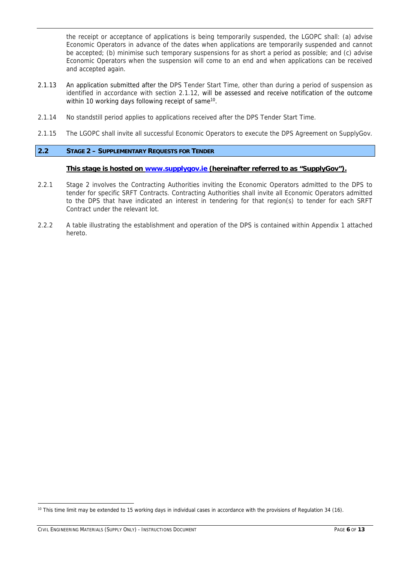the receipt or acceptance of applications is being temporarily suspended, the LGOPC shall: (a) advise Economic Operators in advance of the dates when applications are temporarily suspended and cannot be accepted; (b) minimise such temporary suspensions for as short a period as possible; and (c) advise Economic Operators when the suspension will come to an end and when applications can be received and accepted again.

- 2.1.13 An application submitted after the DPS Tender Start Time, other than during a period of suspension as identified in accordance with section 2.1.12, will be assessed and receive notification of the outcome within 10 working days following receipt of same<sup>10</sup>.
- 2.1.14 No standstill period applies to applications received after the DPS Tender Start Time.
- 2.1.15 The LGOPC shall invite all successful Economic Operators to execute the DPS Agreement on SupplyGov.

### **2.2 STAGE 2 – SUPPLEMENTARY REQUESTS FOR TENDER**

### **This stage is hosted on www.supplygov.ie (hereinafter referred to as "SupplyGov").**

- 2.2.1 Stage 2 involves the Contracting Authorities inviting the Economic Operators admitted to the DPS to tender for specific SRFT Contracts. Contracting Authorities shall invite all Economic Operators admitted to the DPS that have indicated an interest in tendering for that region(s) to tender for each SRFT Contract under the relevant lot.
- 2.2.2 A table illustrating the establishment and operation of the DPS is contained within Appendix 1 attached hereto.

 $10$  This time limit may be extended to 15 working days in individual cases in accordance with the provisions of Regulation 34 (16).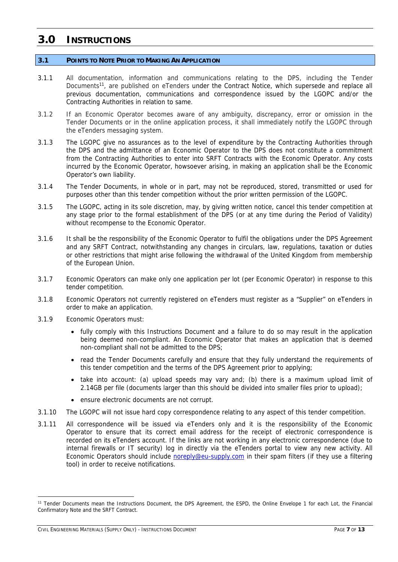### **3.0 INSTRUCTIONS**

### **3.1 POINTS TO NOTE PRIOR TO MAKING AN APPLICATION**

- 3.1.1 All documentation, information and communications relating to the DPS, including the Tender Documents<sup>11</sup>, are published on eTenders under the Contract Notice, which supersede and replace all previous documentation, communications and correspondence issued by the LGOPC and/or the Contracting Authorities in relation to same.
- 3.1.2 If an Economic Operator becomes aware of any ambiguity, discrepancy, error or omission in the Tender Documents or in the online application process, it shall immediately notify the LGOPC through the eTenders messaging system.
- 3.1.3 The LGOPC give no assurances as to the level of expenditure by the Contracting Authorities through the DPS and the admittance of an Economic Operator to the DPS does not constitute a commitment from the Contracting Authorities to enter into SRFT Contracts with the Economic Operator. Any costs incurred by the Economic Operator, howsoever arising, in making an application shall be the Economic Operator's own liability.
- 3.1.4 The Tender Documents, in whole or in part, may not be reproduced, stored, transmitted or used for purposes other than this tender competition without the prior written permission of the LGOPC.
- 3.1.5 The LGOPC, acting in its sole discretion, may, by giving written notice, cancel this tender competition at any stage prior to the formal establishment of the DPS (or at any time during the Period of Validity) without recompense to the Economic Operator.
- 3.1.6 It shall be the responsibility of the Economic Operator to fulfil the obligations under the DPS Agreement and any SRFT Contract, notwithstanding any changes in circulars, law, regulations, taxation or duties or other restrictions that might arise following the withdrawal of the United Kingdom from membership of the European Union.
- 3.1.7 Economic Operators can make only one application per lot (per Economic Operator) in response to this tender competition.
- 3.1.8 Economic Operators not currently registered on eTenders must register as a "Supplier" on eTenders in order to make an application.
- 3.1.9 Economic Operators must:
	- fully comply with this Instructions Document and a failure to do so may result in the application being deemed non-compliant. An Economic Operator that makes an application that is deemed non-compliant shall not be admitted to the DPS;
	- read the Tender Documents carefully and ensure that they fully understand the requirements of this tender competition and the terms of the DPS Agreement prior to applying;
	- take into account: (a) upload speeds may vary and; (b) there is a maximum upload limit of 2.14GB per file (documents larger than this should be divided into smaller files prior to upload);
	- ensure electronic documents are not corrupt.
- 3.1.10 The LGOPC will not issue hard copy correspondence relating to any aspect of this tender competition.
- 3.1.11 All correspondence will be issued via eTenders only and it is the responsibility of the Economic Operator to ensure that its correct email address for the receipt of electronic correspondence is recorded on its eTenders account. If the links are not working in any electronic correspondence (due to internal firewalls or IT security) log in directly via the eTenders portal to view any new activity. All Economic Operators should include noreply@eu-supply.com in their spam filters (if they use a filtering tool) in order to receive notifications.

<sup>11</sup> Tender Documents mean the Instructions Document, the DPS Agreement, the ESPD, the Online Envelope 1 for each Lot, the Financial Confirmatory Note and the SRFT Contract.

CIVIL ENGINEERING MATERIALS (SUPPLY ONLY) - INSTRUCTIONS DOCUMENT PAGE **7** OF **13**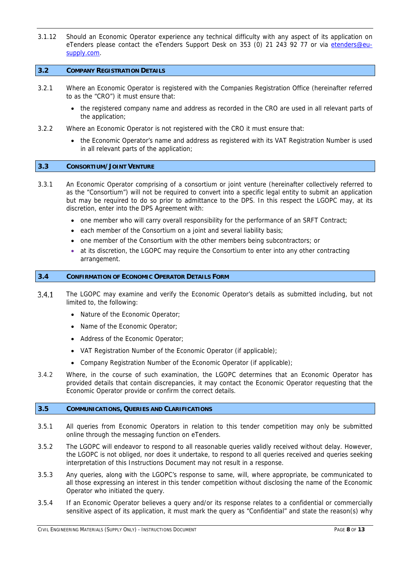3.1.12 Should an Economic Operator experience any technical difficulty with any aspect of its application on eTenders please contact the eTenders Support Desk on 353 (0) 21 243 92 77 or via etenders@eusupply.com.

### **3.2 COMPANY REGISTRATION DETAILS**

- 3.2.1 Where an Economic Operator is registered with the Companies Registration Office (hereinafter referred to as the "CRO") it must ensure that:
	- the registered company name and address as recorded in the CRO are used in all relevant parts of the application;
- 3.2.2 Where an Economic Operator is not registered with the CRO it must ensure that:
	- the Economic Operator's name and address as registered with its VAT Registration Number is used in all relevant parts of the application;

### **3.3 CONSORTIUM/JOINT VENTURE**

- 3.3.1 An Economic Operator comprising of a consortium or joint venture (hereinafter collectively referred to as the "Consortium") will not be required to convert into a specific legal entity to submit an application but may be required to do so prior to admittance to the DPS. In this respect the LGOPC may, at its discretion, enter into the DPS Agreement with:
	- one member who will carry overall responsibility for the performance of an SRFT Contract;
	- each member of the Consortium on a joint and several liability basis;
	- one member of the Consortium with the other members being subcontractors; or
	- at its discretion, the LGOPC may require the Consortium to enter into any other contracting arrangement.

### **3.4 CONFIRMATION OF ECONOMIC OPERATOR DETAILS FORM**

- $3.4.1$ The LGOPC may examine and verify the Economic Operator's details as submitted including, but not limited to, the following:
	- Nature of the Economic Operator;
	- Name of the Economic Operator;
	- Address of the Economic Operator;
	- VAT Registration Number of the Economic Operator (if applicable);
	- Company Registration Number of the Economic Operator (if applicable);
- 3.4.2 Where, in the course of such examination, the LGOPC determines that an Economic Operator has provided details that contain discrepancies, it may contact the Economic Operator requesting that the Economic Operator provide or confirm the correct details.

### **3.5 COMMUNICATIONS, QUERIES AND CLARIFICATIONS**

- 3.5.1 All queries from Economic Operators in relation to this tender competition may only be submitted online through the messaging function on eTenders.
- 3.5.2 The LGOPC will endeavor to respond to all reasonable queries validly received without delay. However, the LGOPC is not obliged, nor does it undertake, to respond to all queries received and queries seeking interpretation of this Instructions Document may not result in a response.
- 3.5.3 Any queries, along with the LGOPC's response to same, will, where appropriate, be communicated to all those expressing an interest in this tender competition without disclosing the name of the Economic Operator who initiated the query.
- 3.5.4 If an Economic Operator believes a query and/or its response relates to a confidential or commercially sensitive aspect of its application, it must mark the query as "Confidential" and state the reason(s) why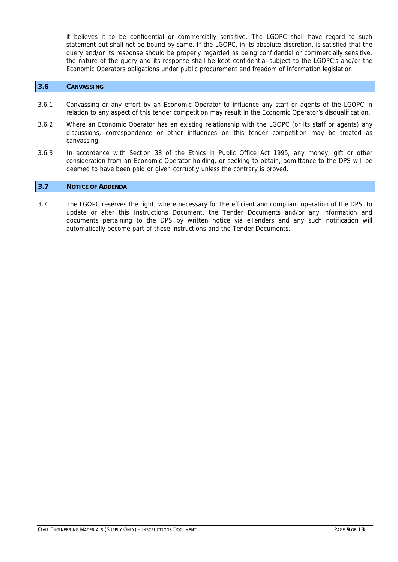it believes it to be confidential or commercially sensitive. The LGOPC shall have regard to such statement but shall not be bound by same. If the LGOPC, in its absolute discretion, is satisfied that the query and/or its response should be properly regarded as being confidential or commercially sensitive, the nature of the query and its response shall be kept confidential subject to the LGOPC's and/or the Economic Operators obligations under public procurement and freedom of information legislation.

### **3.6 CANVASSING**

- 3.6.1 Canvassing or any effort by an Economic Operator to influence any staff or agents of the LGOPC in relation to any aspect of this tender competition may result in the Economic Operator's disqualification.
- 3.6.2 Where an Economic Operator has an existing relationship with the LGOPC (or its staff or agents) any discussions, correspondence or other influences on this tender competition may be treated as canvassing.
- 3.6.3 In accordance with Section 38 of the Ethics in Public Office Act 1995, any money, gift or other consideration from an Economic Operator holding, or seeking to obtain, admittance to the DPS will be deemed to have been paid or given corruptly unless the contrary is proved.

### **3.7 NOTICE OF ADDENDA**

3.7.1 The LGOPC reserves the right, where necessary for the efficient and compliant operation of the DPS, to update or alter this Instructions Document, the Tender Documents and/or any information and documents pertaining to the DPS by written notice via eTenders and any such notification will automatically become part of these instructions and the Tender Documents.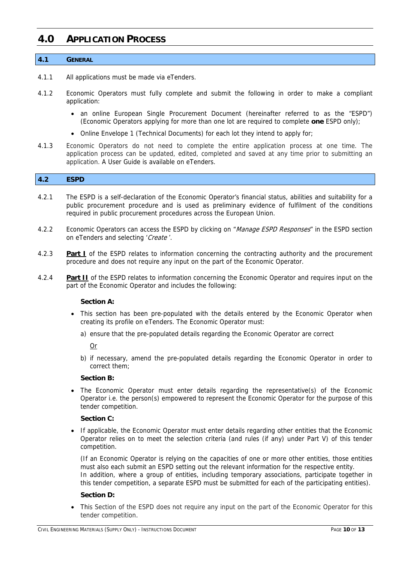### **4.0 APPLICATION PROCESS**

### **4.1 GENERAL**

- 4.1.1 All applications must be made via eTenders.
- 4.1.2 Economic Operators must fully complete and submit the following in order to make a compliant application:
	- an online European Single Procurement Document (hereinafter referred to as the "ESPD") (Economic Operators applying for more than one lot are required to complete **one** ESPD only);
	- Online Envelope 1 (Technical Documents) for each lot they intend to apply for;
- 4.1.3 Economic Operators do not need to complete the entire application process at one time. The application process can be updated, edited, completed and saved at any time prior to submitting an application. A User Guide is available on eTenders.

### **4.2 ESPD**

- 4.2.1 The ESPD is a self-declaration of the Economic Operator's financial status, abilities and suitability for a public procurement procedure and is used as preliminary evidence of fulfilment of the conditions required in public procurement procedures across the European Union.
- 4.2.2 Economic Operators can access the ESPD by clicking on "Manage ESPD Responses" in the ESPD section on eTenders and selecting 'Create'.
- 4.2.3 **Part I** of the ESPD relates to information concerning the contracting authority and the procurement procedure and does not require any input on the part of the Economic Operator.
- 4.2.4 **Part II** of the ESPD relates to information concerning the Economic Operator and requires input on the part of the Economic Operator and includes the following:

### **Section A:**

- This section has been pre-populated with the details entered by the Economic Operator when creating its profile on eTenders. The Economic Operator must:
	- a) ensure that the pre-populated details regarding the Economic Operator are correct

Or

b) if necessary, amend the pre-populated details regarding the Economic Operator in order to correct them;

### **Section B:**

• The Economic Operator must enter details regarding the representative(s) of the Economic Operator i.e. the person(s) empowered to represent the Economic Operator for the purpose of this tender competition.

### **Section C:**

• If applicable, the Economic Operator must enter details regarding other entities that the Economic Operator relies on to meet the selection criteria (and rules (if any) under Part V) of this tender competition.

(If an Economic Operator is relying on the capacities of one or more other entities, those entities must also each submit an ESPD setting out the relevant information for the respective entity. In addition, where a group of entities, including temporary associations, participate together in this tender competition, a separate ESPD must be submitted for each of the participating entities).

### **Section D:**

 This Section of the ESPD does not require any input on the part of the Economic Operator for this tender competition.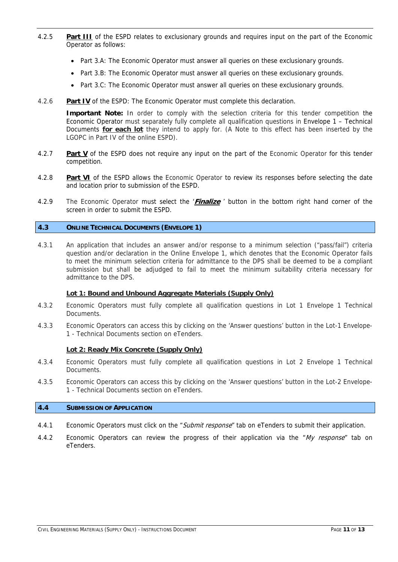- 4.2.5 **Part III** of the ESPD relates to exclusionary grounds and requires input on the part of the Economic Operator as follows:
	- Part 3.A: The Economic Operator must answer all queries on these exclusionary grounds.
	- Part 3.B: The Economic Operator must answer all queries on these exclusionary grounds.
	- Part 3.C: The Economic Operator must answer all queries on these exclusionary grounds.
- 4.2.6 **Part IV** of the ESPD: The Economic Operator must complete this declaration.

**Important Note:** In order to comply with the selection criteria for this tender competition the Economic Operator must separately fully complete all qualification questions in Envelope 1 – Technical Documents **for each lot** they intend to apply for. (A Note to this effect has been inserted by the LGOPC in Part IV of the online ESPD).

- 4.2.7 **Part V** of the ESPD does not require any input on the part of the Economic Operator for this tender competition.
- 4.2.8 **Part VI** of the ESPD allows the Economic Operator to review its responses before selecting the date and location prior to submission of the ESPD.
- 4.2.9 The Economic Operator must select the '**Finalize** ' button in the bottom right hand corner of the screen in order to submit the ESPD.

### **4.3 ONLINE TECHNICAL DOCUMENTS (ENVELOPE 1)**

4.3.1 An application that includes an answer and/or response to a minimum selection ("pass/fail") criteria question and/or declaration in the Online Envelope 1, which denotes that the Economic Operator fails to meet the minimum selection criteria for admittance to the DPS shall be deemed to be a compliant submission but shall be adjudged to fail to meet the minimum suitability criteria necessary for admittance to the DPS.

### **Lot 1: Bound and Unbound Aggregate Materials (Supply Only)**

- 4.3.2 Economic Operators must fully complete all qualification questions in Lot 1 Envelope 1 Technical **Documents**
- 4.3.3 Economic Operators can access this by clicking on the 'Answer questions' button in the Lot-1 Envelope-1 - Technical Documents section on eTenders.

### **Lot 2: Ready Mix Concrete (Supply Only)**

- 4.3.4 Economic Operators must fully complete all qualification questions in Lot 2 Envelope 1 Technical **Documents**
- 4.3.5 Economic Operators can access this by clicking on the 'Answer questions' button in the Lot-2 Envelope-1 - Technical Documents section on eTenders.

### **4.4 SUBMISSION OF APPLICATION**

- 4.4.1 Economic Operators must click on the "Submit response" tab on eTenders to submit their application.
- 4.4.2 Economic Operators can review the progress of their application via the "My response" tab on eTenders.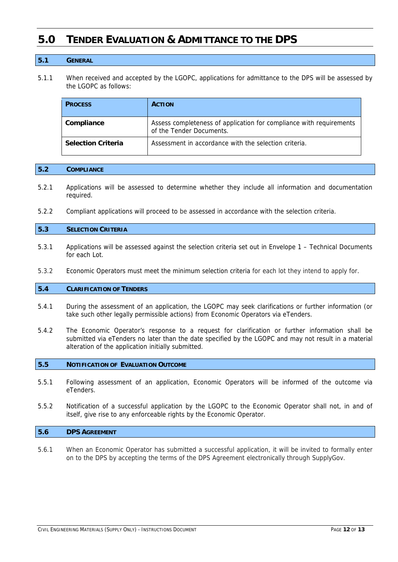### **5.0 TENDER EVALUATION & ADMITTANCE TO THE DPS**

### **5.1 GENERAL**

5.1.1 When received and accepted by the LGOPC, applications for admittance to the DPS will be assessed by the LGOPC as follows:

| <b>PROCESS</b>            | <b>ACTION</b>                                                                                   |  |
|---------------------------|-------------------------------------------------------------------------------------------------|--|
| Compliance                | Assess completeness of application for compliance with requirements<br>of the Tender Documents. |  |
| <b>Selection Criteria</b> | Assessment in accordance with the selection criteria.                                           |  |

#### **5.2 COMPLIANCE**

- 5.2.1 Applications will be assessed to determine whether they include all information and documentation required.
- 5.2.2 Compliant applications will proceed to be assessed in accordance with the selection criteria.

#### **5.3 SELECTION CRITERIA**

- 5.3.1 Applications will be assessed against the selection criteria set out in Envelope 1 Technical Documents for each Lot.
- 5.3.2 Economic Operators must meet the minimum selection criteria for each lot they intend to apply for.

### **5.4 CLARIFICATION OF TENDERS**

- 5.4.1 During the assessment of an application, the LGOPC may seek clarifications or further information (or take such other legally permissible actions) from Economic Operators via eTenders.
- 5.4.2 The Economic Operator's response to a request for clarification or further information shall be submitted via eTenders no later than the date specified by the LGOPC and may not result in a material alteration of the application initially submitted.

### **5.5 NOTIFICATION OF EVALUATION OUTCOME**

- 5.5.1 Following assessment of an application, Economic Operators will be informed of the outcome via eTenders.
- 5.5.2 Notification of a successful application by the LGOPC to the Economic Operator shall not, in and of itself, give rise to any enforceable rights by the Economic Operator.

### **5.6 DPS AGREEMENT**

5.6.1 When an Economic Operator has submitted a successful application, it will be invited to formally enter on to the DPS by accepting the terms of the DPS Agreement electronically through SupplyGov.